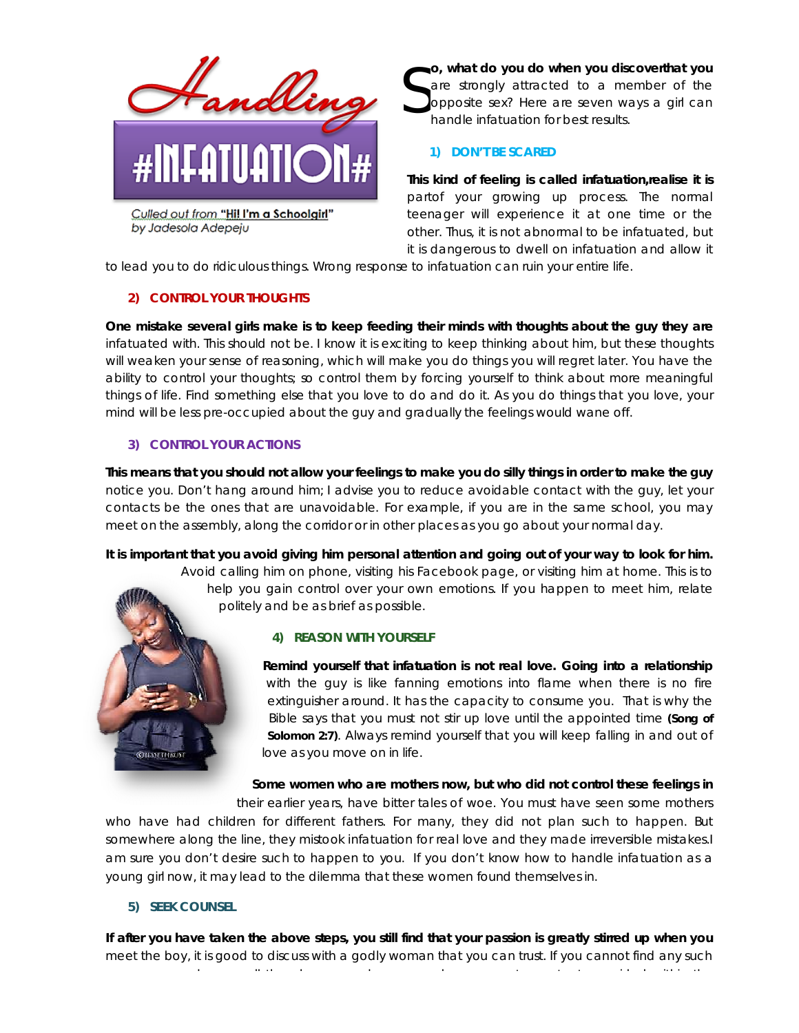

Culled out from "Hi! I'm a Schoolgirl" by Jadesola Adepeju

**o, what do you do when you discoverthat you** are strongly attracted to a member of the opposite sex? Here are seven ways a girl can handle infatuation for best results. S

## **1) DON'T BE SCARED**

**This kind of feeling is called infatuation,realise it is** partof your growing up process. The normal teenager will experience it at one time or the other. Thus, it is not abnormal to be infatuated, but it is dangerous to dwell on infatuation and allow it

to lead you to do ridiculous things. Wrong response to infatuation can ruin your entire life.

# **2) CONTROL YOUR THOUGHTS**

**One mistake several girls make is to keep feeding their minds with thoughts about the guy they are** infatuated with. This should not be. I know it is exciting to keep thinking about him, but these thoughts will weaken your sense of reasoning, which will make you do things you will regret later. You have the ability to control your thoughts; so control them by forcing yourself to think about more meaningful things of life. Find something else that you love to do and do it. As you do things that you love, your mind will be less pre-occupied about the guy and gradually the feelings would wane off.

# **3) CONTROL YOUR ACTIONS**

**This means that you should not allow your feelings to make you do silly things in order to make the guy** notice you. Don't hang around him; I advise you to reduce avoidable contact with the guy, let your contacts be the ones that are unavoidable. For example, if you are in the same school, you may meet on the assembly, along the corridor or in other places as you go about your normal day.

**It is important that you avoid giving him personal attention and going out of your way to look for him.**

Avoid calling him on phone, visiting his Facebook page, or visiting him at home. This is to help you gain control over your own emotions. If you happen to meet him, relate politely and be as brief as possible.

### **4) REASON WITH YOURSELF**

**Remind yourself that infatuation is not real love. Going into a relationship** with the guy is like fanning emotions into flame when there is no fire extinguisher around. It has the capacity to consume you. That is why the Bible says that you must not stir up love until the appointed time **(Song of Solomon 2:7)**. Always remind yourself that you will keep falling in and out of love as you move on in life.

**Some women who are mothers now, but who did not control these feelings in**

their earlier years, have bitter tales of woe. You must have seen some mothers who have had children for different fathers. For many, they did not plan such to happen. But somewhere along the line, they mistook infatuation for real love and they made irreversible mistakes.I am sure you don't desire such to happen to you. If you don't know how to handle infatuation as a young girl now, it may lead to the dilemma that these women found themselves in.

### **5) SEEK COUNSEL**

**If after you have taken the above steps, you still find that your passion is greatly stirred up when you** meet the boy, it is good to discuss with a godly woman that you can trust. If you cannot find any such

woman around you, call the phones numbers or send messages to contact spread messages to contact spread within